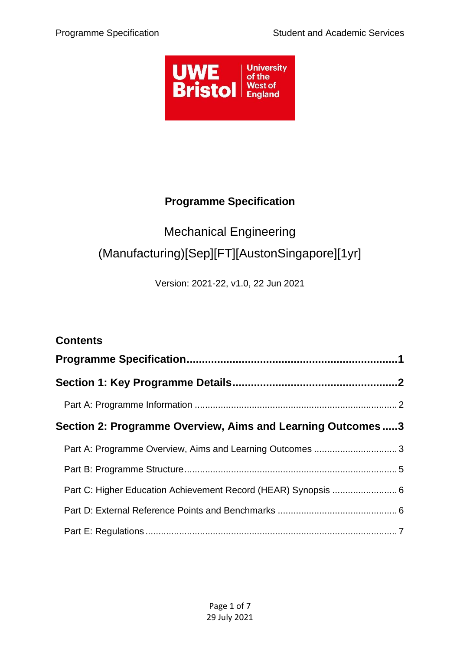

## **Programme Specification**

# <span id="page-0-0"></span>Mechanical Engineering (Manufacturing)[Sep][FT][AustonSingapore][1yr]

Version: 2021-22, v1.0, 22 Jun 2021

| <b>Contents</b>                                                |  |
|----------------------------------------------------------------|--|
|                                                                |  |
|                                                                |  |
|                                                                |  |
| Section 2: Programme Overview, Aims and Learning Outcomes3     |  |
| Part A: Programme Overview, Aims and Learning Outcomes  3      |  |
|                                                                |  |
| Part C: Higher Education Achievement Record (HEAR) Synopsis  6 |  |
|                                                                |  |
|                                                                |  |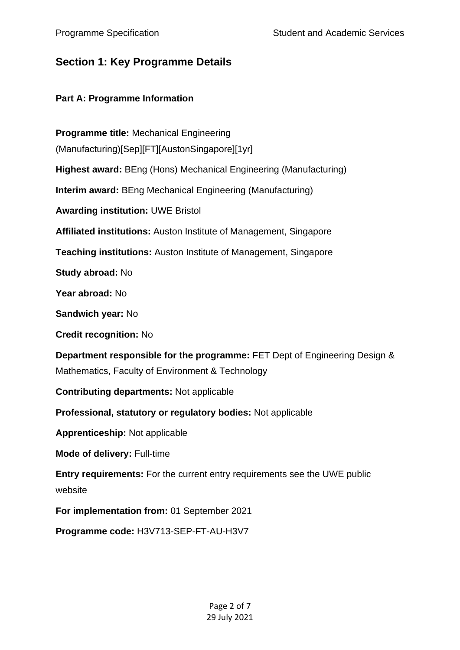## <span id="page-1-0"></span>**Section 1: Key Programme Details**

#### <span id="page-1-1"></span>**Part A: Programme Information**

**Programme title:** Mechanical Engineering (Manufacturing)[Sep][FT][AustonSingapore][1yr] **Highest award:** BEng (Hons) Mechanical Engineering (Manufacturing) **Interim award:** BEng Mechanical Engineering (Manufacturing) **Awarding institution:** UWE Bristol **Affiliated institutions:** Auston Institute of Management, Singapore **Teaching institutions:** Auston Institute of Management, Singapore **Study abroad:** No **Year abroad:** No **Sandwich year:** No **Credit recognition:** No **Department responsible for the programme:** FET Dept of Engineering Design & Mathematics, Faculty of Environment & Technology **Contributing departments:** Not applicable **Professional, statutory or regulatory bodies:** Not applicable **Apprenticeship:** Not applicable **Mode of delivery:** Full-time **Entry requirements:** For the current entry requirements see the UWE public website **For implementation from:** 01 September 2021 **Programme code:** H3V713-SEP-FT-AU-H3V7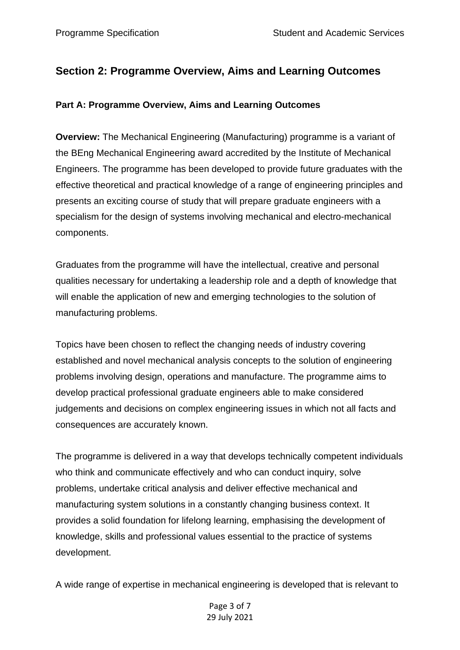## <span id="page-2-0"></span>**Section 2: Programme Overview, Aims and Learning Outcomes**

#### <span id="page-2-1"></span>**Part A: Programme Overview, Aims and Learning Outcomes**

**Overview:** The Mechanical Engineering (Manufacturing) programme is a variant of the BEng Mechanical Engineering award accredited by the Institute of Mechanical Engineers. The programme has been developed to provide future graduates with the effective theoretical and practical knowledge of a range of engineering principles and presents an exciting course of study that will prepare graduate engineers with a specialism for the design of systems involving mechanical and electro-mechanical components.

Graduates from the programme will have the intellectual, creative and personal qualities necessary for undertaking a leadership role and a depth of knowledge that will enable the application of new and emerging technologies to the solution of manufacturing problems.

Topics have been chosen to reflect the changing needs of industry covering established and novel mechanical analysis concepts to the solution of engineering problems involving design, operations and manufacture. The programme aims to develop practical professional graduate engineers able to make considered judgements and decisions on complex engineering issues in which not all facts and consequences are accurately known.

The programme is delivered in a way that develops technically competent individuals who think and communicate effectively and who can conduct inquiry, solve problems, undertake critical analysis and deliver effective mechanical and manufacturing system solutions in a constantly changing business context. It provides a solid foundation for lifelong learning, emphasising the development of knowledge, skills and professional values essential to the practice of systems development.

A wide range of expertise in mechanical engineering is developed that is relevant to

#### Page 3 of 7 29 July 2021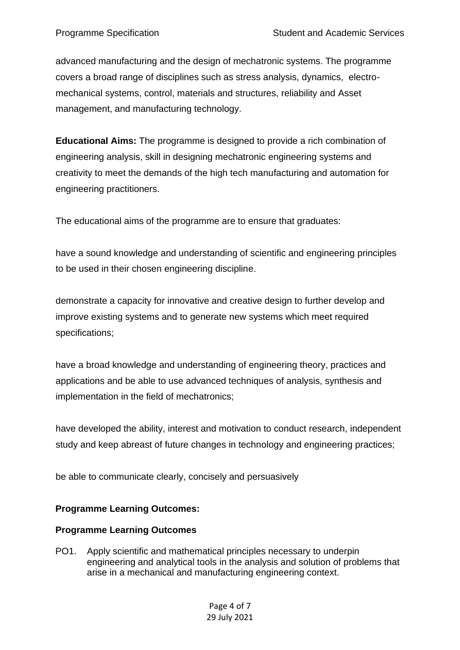advanced manufacturing and the design of mechatronic systems. The programme covers a broad range of disciplines such as stress analysis, dynamics, electromechanical systems, control, materials and structures, reliability and Asset management, and manufacturing technology.

**Educational Aims:** The programme is designed to provide a rich combination of engineering analysis, skill in designing mechatronic engineering systems and creativity to meet the demands of the high tech manufacturing and automation for engineering practitioners.

The educational aims of the programme are to ensure that graduates:

have a sound knowledge and understanding of scientific and engineering principles to be used in their chosen engineering discipline.

demonstrate a capacity for innovative and creative design to further develop and improve existing systems and to generate new systems which meet required specifications;

have a broad knowledge and understanding of engineering theory, practices and applications and be able to use advanced techniques of analysis, synthesis and implementation in the field of mechatronics;

have developed the ability, interest and motivation to conduct research, independent study and keep abreast of future changes in technology and engineering practices;

be able to communicate clearly, concisely and persuasively

#### **Programme Learning Outcomes:**

#### **Programme Learning Outcomes**

PO1. Apply scientific and mathematical principles necessary to underpin engineering and analytical tools in the analysis and solution of problems that arise in a mechanical and manufacturing engineering context.

> Page 4 of 7 29 July 2021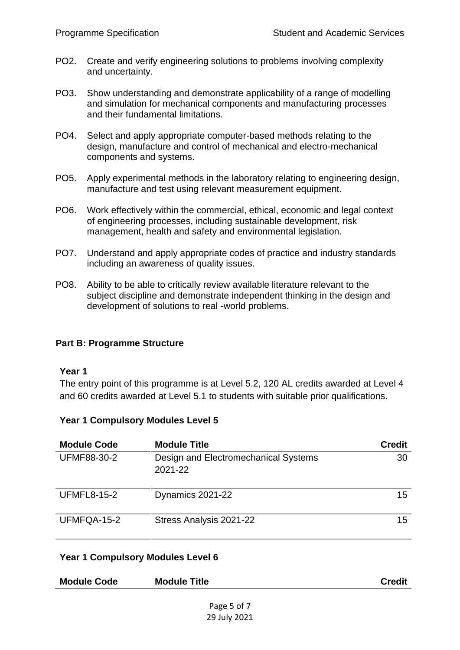- PO2. Create and verify engineering solutions to problems involving complexity and uncertainty.
- PO3. Show understanding and demonstrate applicability of a range of modelling and simulation for mechanical components and manufacturing processes and their fundamental limitations.
- PO4. Select and apply appropriate computer-based methods relating to the design, manufacture and control of mechanical and electro-mechanical components and systems.
- PO5. Apply experimental methods in the laboratory relating to engineering design, manufacture and test using relevant measurement equipment.
- PO6. Work effectively within the commercial, ethical, economic and legal context of engineering processes, including sustainable development, risk management, health and safety and environmental legislation.
- PO7. Understand and apply appropriate codes of practice and industry standards including an awareness of quality issues.
- PO8. Ability to be able to critically review available literature relevant to the subject discipline and demonstrate independent thinking in the design and development of solutions to real -world problems.

#### <span id="page-4-0"></span>**Part B: Programme Structure**

#### **Year 1**

The entry point of this programme is at Level 5.2, 120 AL credits awarded at Level 4 and 60 credits awarded at Level 5.1 to students with suitable prior qualifications.

#### **Year 1 Compulsory Modules Level 5**

| <b>Module Code</b> | <b>Module Title</b>                             | <b>Credit</b> |
|--------------------|-------------------------------------------------|---------------|
| <b>UFMF88-30-2</b> | Design and Electromechanical Systems<br>2021-22 | 30            |
| <b>UFMFL8-15-2</b> | Dynamics 2021-22                                | 15            |
| UFMFQA-15-2        | Stress Analysis 2021-22                         | 15            |

#### **Year 1 Compulsory Modules Level 6**

| <b>Module Code</b> | <b>Module Title</b> | <b>Credit</b> |
|--------------------|---------------------|---------------|
|--------------------|---------------------|---------------|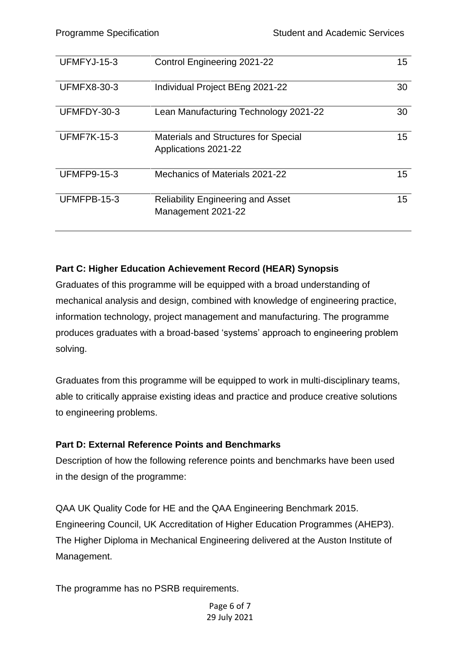| UFMFYJ-15-3        | <b>Control Engineering 2021-22</b>                                  | 15 |
|--------------------|---------------------------------------------------------------------|----|
| <b>UFMFX8-30-3</b> | Individual Project BEng 2021-22                                     | 30 |
| UFMFDY-30-3        | Lean Manufacturing Technology 2021-22                               | 30 |
| <b>UFMF7K-15-3</b> | <b>Materials and Structures for Special</b><br>Applications 2021-22 | 15 |
| <b>UFMFP9-15-3</b> | Mechanics of Materials 2021-22                                      | 15 |
| UFMFPB-15-3        | <b>Reliability Engineering and Asset</b><br>Management 2021-22      | 15 |

### <span id="page-5-0"></span>**Part C: Higher Education Achievement Record (HEAR) Synopsis**

Graduates of this programme will be equipped with a broad understanding of mechanical analysis and design, combined with knowledge of engineering practice, information technology, project management and manufacturing. The programme produces graduates with a broad-based 'systems' approach to engineering problem solving.

Graduates from this programme will be equipped to work in multi-disciplinary teams, able to critically appraise existing ideas and practice and produce creative solutions to engineering problems.

#### <span id="page-5-1"></span>**Part D: External Reference Points and Benchmarks**

Description of how the following reference points and benchmarks have been used in the design of the programme:

QAA UK Quality Code for HE and the QAA Engineering Benchmark 2015. Engineering Council, UK Accreditation of Higher Education Programmes (AHEP3). The Higher Diploma in Mechanical Engineering delivered at the Auston Institute of Management.

The programme has no PSRB requirements.

Page 6 of 7 29 July 2021